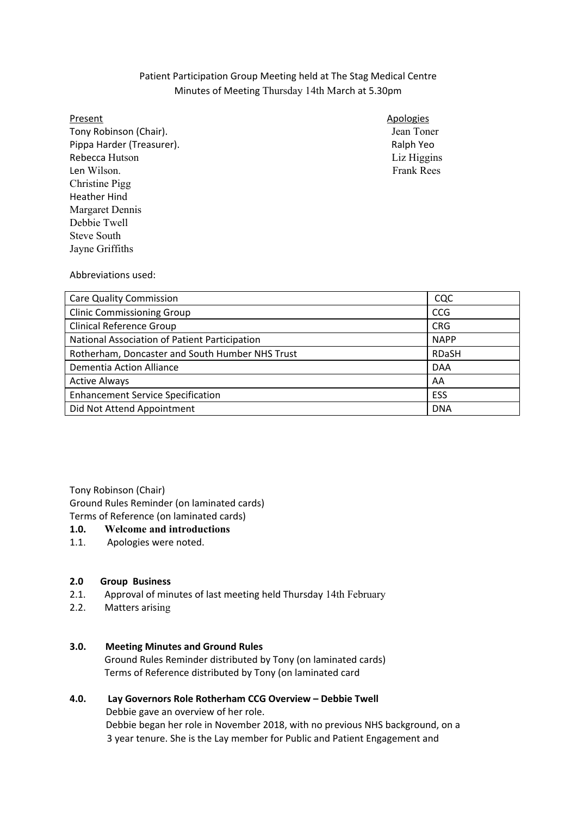## Patient Participation Group Meeting held at The Stag Medical Centre Minutes of Meeting Thursday 14th March at 5.30pm

 Tony Robinson (Chair). Jean Toner Pippa Harder (Treasurer). Ralph Yeo Rebecca Hutson Liz Higgins Len Wilson. Frank Rees Christine Pigg Heather Hind Margaret Dennis Debbie Twell Steve South Jayne Griffiths

## Present Apologies Apologies Apologies Apologies Apologies Apologies Apologies Apologies Apologies Apologies Apologies

Abbreviations used:

| <b>Care Quality Commission</b>                  | CQC          |
|-------------------------------------------------|--------------|
| <b>Clinic Commissioning Group</b>               | <b>CCG</b>   |
| <b>Clinical Reference Group</b>                 | <b>CRG</b>   |
| National Association of Patient Participation   | <b>NAPP</b>  |
| Rotherham, Doncaster and South Humber NHS Trust | <b>RDaSH</b> |
| Dementia Action Alliance                        | <b>DAA</b>   |
| <b>Active Always</b>                            | AA           |
| <b>Enhancement Service Specification</b>        | ESS          |
| Did Not Attend Appointment                      | <b>DNA</b>   |

Tony Robinson (Chair)

Ground Rules Reminder (on laminated cards)

Terms of Reference (on laminated cards)

# **1.0. Welcome and introductions**

1.1. Apologies were noted.

#### $2.0$ **2.0 Group Business**

- 2.1. Approval of minutes of last meeting held Thursday 14th February
- $2.2.$ Matters arising

### **3.0. Meeting Minutes and Ground Rules**

 Ground Rules Reminder distributed by Tony (on laminated cards) Terms of Reference distributed by Tony (on laminated card

#### 4.0. Debbie gave an overview of her role. Debbie began her role in November 2018, with no previous NHS background, on a 3 year tenure. She is the Lay member for Public and Patient Engagement and**4.0. Lay Governors Role Rotherham CCG Overview – Debbie Twell**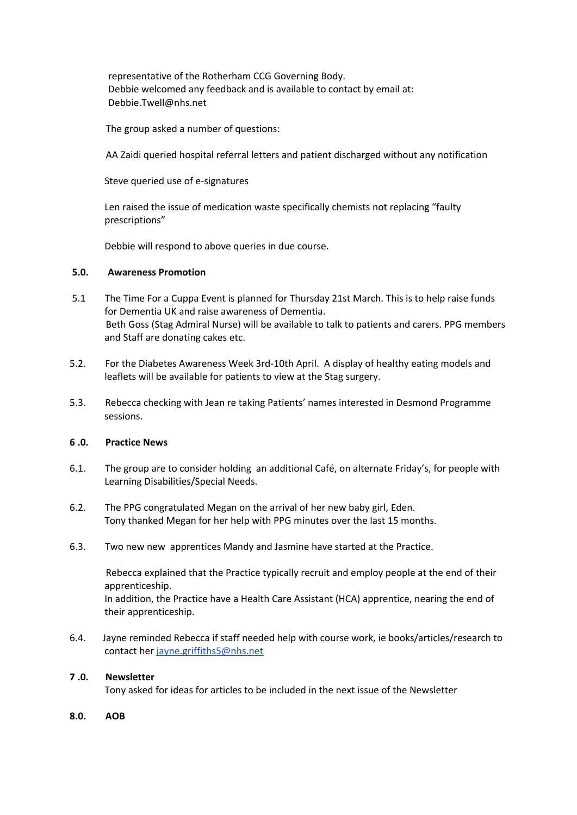representative of the Rotherham CCG Governing Body. Debbie welcomed any feedback and is available to contact by email at: Debbie.Twell@nhs.net

The group asked a number of questions:

AA Zaidi queried hospital referral letters and patient discharged without any notification

Steve queried use of e-signatures

Len raised the issue of medication waste specifically chemists not replacing "faulty prescriptions"

Debbie will respond to above queries in due course.

#### **5.0. Awareness Promotion**

- 5.1 The Time For a Cuppa Event is planned for Thursday 21st March. This is to help raise funds for Dementia UK and raise awareness of Dementia. Beth Goss (Stag Admiral Nurse) will be available to talk to patients and carers. PPG members and Staff are donating cakes etc.
- 5.2. For the Diabetes Awareness Week 3rd-10th April. A display of healthy eating models and leaflets will be available for patients to view at the Stag surgery.
- 5.3. Rebecca checking with Jean re taking Patients' names interested in Desmond Programme sessions.

#### $6.0.$ **6 .0. Practice News**

- $6.1.$  Learning Disabilities/Special Needs. The group are to consider holding an additional Café, on alternate Friday's, for people with
- $6.2.$  Tony thanked Megan for her help with PPG minutes over the last 15 months. The PPG congratulated Megan on the arrival of her new baby girl, Eden.
- $6.3.$ Two new new apprentices Mandy and Jasmine have started at the Practice.

 Rebecca explained that the Practice typically recruit and employ people at the end of their apprenticeship.

 In addition, the Practice have a Health Care Assistant (HCA) apprentice, nearing the end of their apprenticeship.

6.4. contact her [jayne.griffiths5@nhs.net](mailto:jayne.griffiths5@nhs.net) Jayne reminded Rebecca if staff needed help with course work, ie books/articles/research to

#### **7 .0. Newsletter**

Tony asked for ideas for articles to be included in the next issue of the Newsletter

 $8.0.$ **8.0. AOB**